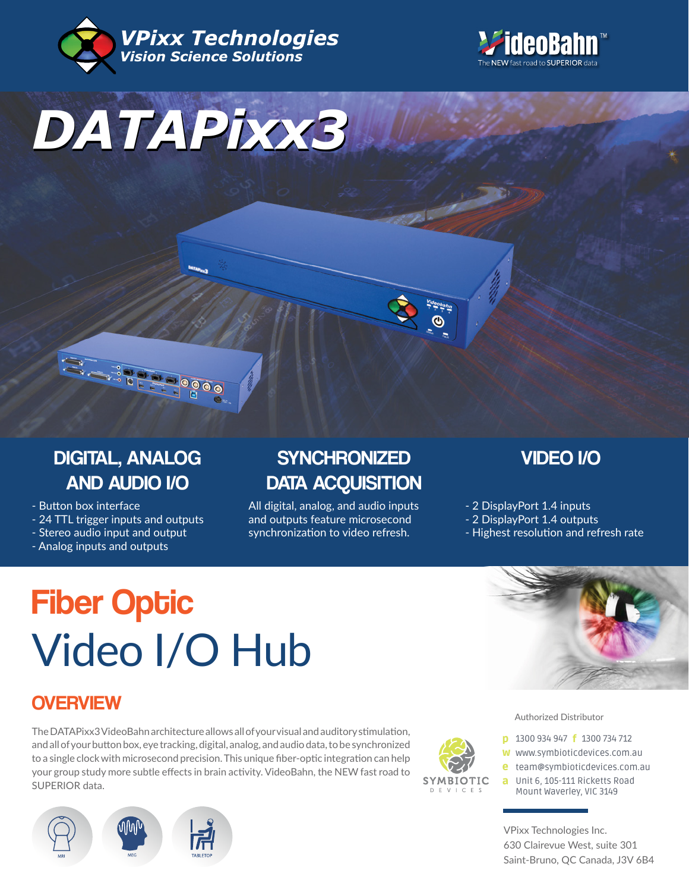





# DIGITAL, ANALOG AND AUDIO I/O

- Button box interface
- 24 TTL trigger inputs and outputs
- Stereo audio input and output
- Analog inputs and outputs

# **SYNCHRONIZED** DATA ACQUISITION

All digital, analog, and audio inputs and outputs feature microsecond synchronization to video refresh.

VIDEO I/O

- 2 DisplayPort 1.4 inputs

- 2 DisplayPort 1.4 outputs
- Highest resolution and refresh rate

# **Fiber Optic** Video I/O Hub

## **OVERVIEW**

The DATAPixx3 VideoBahn architecture allows all of your visual and auditory stimulation, and all of your button box, eye tracking, digital, analog, and audio data, to be synchronized to a single clock with microsecond precision. This unique fiber-optic integration can help your group study more subtle effects in brain activity. VideoBahn, the NEW fast road to SUPERIOR data.





◉

#### Authorized Distributor

- **p** 1300 934 947 **f** 1300 734 712
- w www.symbioticdevices.com.au
- [team@symbioticdevices.com.au](https://symbioticdevices.com.au/) e
- Unit 6, 105-111 Ricketts Road a Mount Waverley, VIC 3149

VPixx Technologies Inc. 630 Clairevue West, suite 301 Saint-Bruno, QC Canada, J3V 6B4